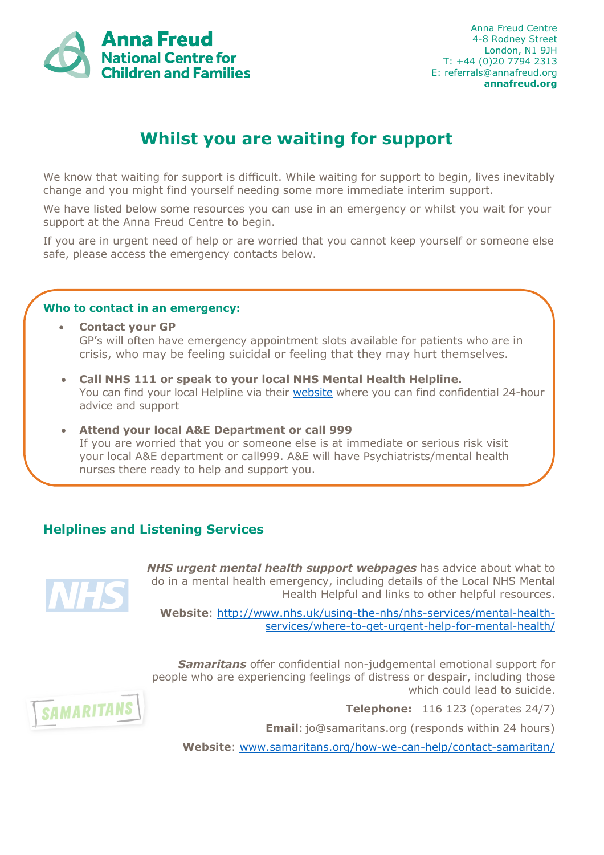

## **Whilst you are waiting for support**

We know that waiting for support is difficult. While waiting for support to begin, lives inevitably change and you might find yourself needing some more immediate interim support.

We have listed below some resources you can use in an emergency or whilst you wait for your support at the Anna Freud Centre to begin.

If you are in urgent need of help or are worried that you cannot keep yourself or someone else safe, please access the emergency contacts below.

## **Who to contact in an emergency:**

- **Contact your GP** GP's will often have emergency appointment slots available for patients who are in crisis, who may be feeling suicidal or feeling that they may hurt themselves.
- **Call NHS 111 or speak to your local NHS Mental Health Helpline.** You can find your local Helpline via their [website](http://www.nhs.uk/service-search/mental-health/find-an-urgent-mental-health-helpline) where you can find confidential 24-hour advice and support
- **Attend your local A&E Department or call 999** If you are worried that you or someone else is at immediate or serious risk visit your local A&E department or call999. A&E will have Psychiatrists/mental health nurses there ready to help and support you.

## **Helplines and Listening Services**



*NHS urgent mental health support webpages* has advice about what to do in a mental health emergency, including details of the Local NHS Mental Health Helpful and links to other helpful resources.

**Website**: [http://www.nhs.uk/using-the-nhs/nhs-services/mental-health](http://www.nhs.uk/using-the-nhs/nhs-services/mental-health-services/where-to-get-urgent-help-for-mental-health/)[services/where-to-get-urgent-help-for-mental-health/](http://www.nhs.uk/using-the-nhs/nhs-services/mental-health-services/where-to-get-urgent-help-for-mental-health/)

*Samaritans* offer confidential non-judgemental emotional support for people who are experiencing feelings of distress or despair, including those **SAMARITANS** 

**Telephone:** 116 123 (operates 24/7)

which could lead to suicide.

**Email**: [jo@samaritans.org](mailto:jo@samaritans.org) (responds within 24 hours)

**Website**: [www.samaritans.org/how-we-can-help/contact-samaritan/](http://www.samaritans.org/how-we-can-help/contact-samaritan/)